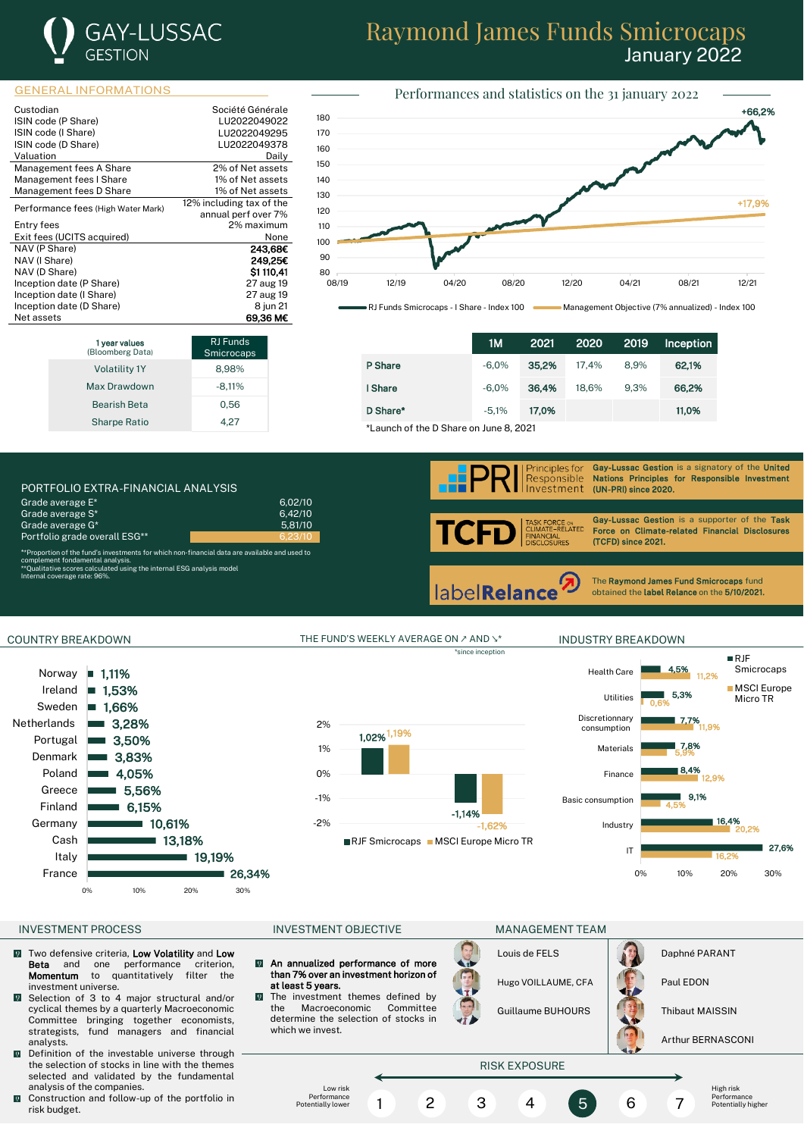

# Raymond James Funds Smicrocaps January 2022

### GENERAL INFORMATIONS

| Custodian                          | Société Générale         |
|------------------------------------|--------------------------|
| ISIN code (P Share)                | LU2022049022             |
| ISIN code (I Share)                | LU2022049295             |
| ISIN code (D Share)                | LU2022049378             |
| Valuation                          | Dailv                    |
| Management fees A Share            | 2% of Net assets         |
| Management fees I Share            | 1% of Net assets         |
| Management fees D Share            | 1% of Net assets         |
| Performance fees (High Water Mark) | 12% including tax of the |
|                                    | annual perf over 7%      |
| Entry fees                         | 2% maximum               |
| Exit fees (UCITS acquired)         | None                     |
| NAV (P Share)                      | 243,68€                  |
| NAV (I Share)                      | 249.25€                  |
| NAV (D Share)                      | \$1110,41                |
| Inception date (P Share)           | 27 aug 19                |
| Inception date (I Share)           | 27 aug 19                |
| Inception date (D Share)           | 8 jun 21                 |
| Net assets                         | 69.36 M€                 |





RJ Funds Smicrocaps - I Share - Index 100 Management Objective (7% annualized) - Index 100

|                                        | 1M      | 2021  | 2020  | 2019 | Inception |
|----------------------------------------|---------|-------|-------|------|-----------|
| P Share                                | $-6.0%$ | 35.2% | 17.4% | 8.9% | 62,1%     |
| I Share                                | $-6.0%$ | 36.4% | 18.6% | 9.3% | 66.2%     |
| D Share*                               | $-5.1%$ | 17.0% |       |      | 11.0%     |
| *Launch of the D Share on June 8, 2021 |         |       |       |      |           |





COUNTRY BREAKDOWN THE FUND'S WEEKLY AVERAGE ON ∠ AND ↘\* INDUSTRY BREAKDOWN

-2% -1,62%



### INVESTMENT PROCESS FOR THE INVESTMENT OBJECTIVE THE MANAGEMENT TEAM

- $\Omega$ Two defensive criteria, Low Volatility and Low **Beta** and one performance criterion,<br>**Momentum** to quantitatively filter the to quantitatively filter the investment universe.
- Selection of 3 to 4 major structural and/or cyclical themes by a quarterly Macroeconomic Committee bringing together economists, strategists, fund managers and financial analysts.
- Definition of the investable universe through the selection of stocks in line with the themes selected and validated by the fundamental analysis of the companies.
- Construction and follow-up of the portfolio in  $\overline{0}$ risk budget.

-1% 0% 1% 2%

 $\overline{\mathbf{Q}}$ An annualized performance of more than 7% over an investment horizon of at least 5 years.

 $\sqrt{2}$ 

The investment themes defined by<br>the Macroeconomic Committee Macroeconomic determine the selection of stocks in which we invest.

| $\frac{1}{2}$ |               |
|---------------|---------------|
| Louis de FELS | Daphné PARANT |

Hugo VOILLAUME, CFA Paul EDON

Guillaume BUHOURS | Thibaut MAISSIN



Arthur BERNASCONI



\*since inception



RJF Smicrocaps MSCI Europe Micro TR

-1,14%